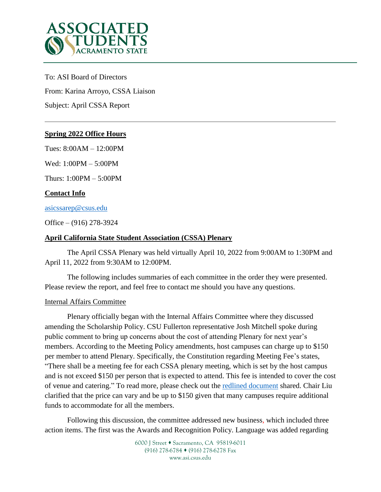

To: ASI Board of Directors From: Karina Arroyo, CSSA Liaison Subject: April CSSA Report

# **Spring 2022 Office Hours**

Tues: 8:00AM – 12:00PM

Wed: 1:00PM – 5:00PM

Thurs: 1:00PM – 5:00PM

# **Contact Info**

[asicssarep@csus.edu](mailto:asicssarep@csus.edu)

Office – (916) 278-3924

### **April California State Student Association (CSSA) Plenary**

The April CSSA Plenary was held virtually April 10, 2022 from 9:00AM to 1:30PM and April 11, 2022 from 9:30AM to 12:00PM.

The following includes summaries of each committee in the order they were presented. Please review the report, and feel free to contact me should you have any questions.

### Internal Affairs Committee

Plenary officially began with the Internal Affairs Committee where they discussed amending the Scholarship Policy. CSU Fullerton representative Josh Mitchell spoke during public comment to bring up concerns about the cost of attending Plenary for next year's members. According to the Meeting Policy amendments, host campuses can charge up to \$150 per member to attend Plenary. Specifically, the Constitution regarding Meeting Fee's states, "There shall be a meeting fee for each CSSA plenary meeting, which is set by the host campus and is not exceed \$150 per person that is expected to attend. This fee is intended to cover the cost of venue and catering." To read more, please check out the redlined [document](https://docs.google.com/document/d/12VT2AhlrSF2P1gSr4j-SgMVobqAcAnuld8NmAZ1SDUE/edit?usp=sharing) shared. Chair Liu clarified that the price can vary and be up to \$150 given that many campuses require additional funds to accommodate for all the members.

Following this discussion, the committee addressed new business, which included three action items. The first was the Awards and Recognition Policy. Language was added regarding

> 6000 J Street • Sacramento, CA 95819-6011 (916) 278-6784 (916) 278-6278 Fax www.asi.csus.edu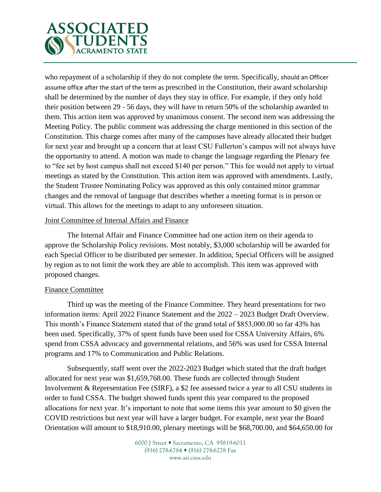

who repayment of a scholarship if they do not complete the term. Specifically, should an Officer assume office after the start of the term as prescribed in the Constitution, their award scholarship shall be determined by the number of days they stay in office. For example, if they only hold their position between 29 - 56 days, they will have to return 50% of the scholarship awarded to them. This action item was approved by unanimous consent. The second item was addressing the Meeting Policy. The public comment was addressing the charge mentioned in this section of the Constitution. This charge comes after many of the campuses have already allocated their budget for next year and brought up a concern that at least CSU Fullerton's campus will not always have the opportunity to attend. A motion was made to change the language regarding the Plenary fee to "fee set by host campus shall not exceed \$140 per person." This fee would not apply to virtual meetings as stated by the Constitution. This action item was approved with amendments. Lastly, the Student Trustee Nominating Policy was approved as this only contained minor grammar changes and the removal of language that describes whether a meeting format is in person or virtual. This allows for the meetings to adapt to any unforeseen situation.

### Joint Committee of Internal Affairs and Finance

The Internal Affair and Finance Committee had one action item on their agenda to approve the Scholarship Policy revisions. Most notably, \$3,000 scholarship will be awarded for each Special Officer to be distributed per semester. In addition, Special Officers will be assigned by region as to not limit the work they are able to accomplish. This item was approved with proposed changes.

### Finance Committee

Third up was the meeting of the Finance Committee. They heard presentations for two information items: April 2022 Finance Statement and the 2022 – 2023 Budget Draft Overview. This month's Finance Statement stated that of the grand total of \$853,000.00 so far 43% has been used. Specifically, 37% of spent funds have been used for CSSA University Affairs, 6% spend from CSSA advocacy and governmental relations, and 56% was used for CSSA Internal programs and 17% to Communication and Public Relations.

Subsequently, staff went over the 2022-2023 Budget which stated that the draft budget allocated for next year was \$1,659,768.00. These funds are collected through Student Involvement & Representation Fee (SIRF), a \$2 fee assessed twice a year to all CSU students in order to fund CSSA. The budget showed funds spent this year compared to the proposed allocations for next year. It's important to note that some items this year amount to \$0 given the COVID restrictions but next year will have a larger budget. For example, next year the Board Orientation will amount to \$18,910.00, plenary meetings will be \$68,700.00, and \$64,650.00 for

> 6000 J Street • Sacramento, CA 95819-6011 (916) 278-6784 (916) 278-6278 Fax www.asi.csus.edu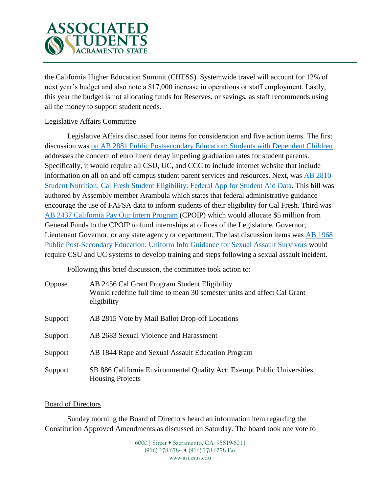

the California Higher Education Summit (CHESS). Systemwide travel will account for 12% of next year's budget and also note a \$17,000 increase in operations or staff employment. Lastly, this year the budget is not allocating funds for Reserves, or savings, as staff recommends using all the money to support student needs.

# Legislative Affairs Committee

Legislative Affairs discussed four items for consideration and five action items. The first discussion was [on AB 2881 Public Postsecondary Education: Students with Dependent Children](https://leginfo.legislature.ca.gov/faces/billNavClient.xhtml?bill_id=202120220AB2881) addresses the concern of enrollment delay impeding graduation rates for student parents. Specifically, it would require all CSU, UC, and CCC to include internet website that include information on all on and off campus student parent services and resources. Next, was [AB 2810](https://leginfo.legislature.ca.gov/faces/billTextClient.xhtml?bill_id=202120220AB2810)  [Student Nutrition: Cal Fresh Student Eligibility: Federal App for Student Aid Data.](https://leginfo.legislature.ca.gov/faces/billTextClient.xhtml?bill_id=202120220AB2810) This bill was authored by Assembly member Arambula which states that federal administrative guidance encourage the use of FAFSA data to inform students of their eligibility for Cal Fresh. Third was [AB 2437 California Pay Our](https://leginfo.legislature.ca.gov/faces/billNavClient.xhtml?bill_id=202120220AB2437) Intern Program (CPOIP) which would allocate \$5 million from General Funds to the CPOIP to fund internships at offices of the Legislature, Governor, Lieutenant Governor, or any state agency or department. The last discussion items was [AB 1968](https://leginfo.legislature.ca.gov/faces/billTextClient.xhtml?bill_id=202120220AB1968)  [Public Post-Secondary Education: Uniform Info Guidance for Sexual Assault Survivors](https://leginfo.legislature.ca.gov/faces/billTextClient.xhtml?bill_id=202120220AB1968) would require CSU and UC systems to develop training and steps following a sexual assault incident.

Following this brief discussion, the committee took action to:

| <b>Oppose</b> | AB 2456 Cal Grant Program Student Eligibility<br>Would redefine full time to mean 30 semester units and affect Cal Grant<br>eligibility |
|---------------|-----------------------------------------------------------------------------------------------------------------------------------------|
| Support       | AB 2815 Vote by Mail Ballot Drop-off Locations                                                                                          |
| Support       | AB 2683 Sexual Violence and Harassment                                                                                                  |
| Support       | AB 1844 Rape and Sexual Assault Education Program                                                                                       |
| Support       | SB 886 California Environmental Quality Act: Exempt Public Universities<br><b>Housing Projects</b>                                      |

### Board of Directors

Sunday morning the Board of Directors heard an information item regarding the Constitution Approved Amendments as discussed on Saturday. The board took one vote to

> 6000 J Street • Sacramento, CA 95819-6011 (916) 278-6784 (916) 278-6278 Fax www.asi.csus.edu